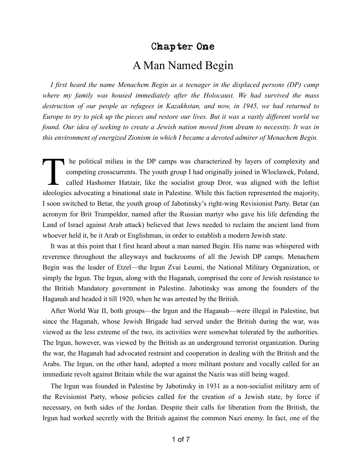# Chapter One A Man Named Begin

*I first heard the name Menachem Begin as a teenager in the displaced persons (DP) camp where my family was housed immediately after the Holocaust. We had survived the mass destruction of our people as refugees in Kazakhstan, and now, in 1945, we had returned to Europe to try to pick up the pieces and restore our lives. But it was a vastly different world we found. Our idea of seeking to create a Jewish nation moved from dream to necessity. It was in this environment of energized Zionism in which I became a devoted admirer of Menachem Begin.*

I he political milieu in the DP camps was characterized by layers of complexity and competing crosscurrents. The youth group I had originally joined in Wloclawek, Poland, called Hashomer Hatzair, like the socialist group Dror, was aligned with the leftist ideologies advocating a binational state in Palestine. While this faction represented the majority, I soon switched to Betar, the youth group of Jabotinsky's right-wing Revisionist Party. Betar (an acronym for Brit Trumpeldor, named after the Russian martyr who gave his life defending the Land of Israel against Arab attack) believed that Jews needed to reclaim the ancient land from whoever held it, be it Arab or Englishman, in order to establish a modern Jewish state.

It was at this point that I first heard about a man named Begin. His name was whispered with reverence throughout the alleyways and backrooms of all the Jewish DP camps. Menachem Begin was the leader of Etzel—the Irgun Zvai Leumi, the National Military Organization, or simply the Irgun. The Irgun, along with the Haganah, comprised the core of Jewish resistance to the British Mandatory government in Palestine. Jabotinsky was among the founders of the Haganah and headed it till 1920, when he was arrested by the British.

After World War II, both groups—the Irgun and the Haganah—were illegal in Palestine, but since the Haganah, whose Jewish Brigade had served under the British during the war, was viewed as the less extreme of the two, its activities were somewhat tolerated by the authorities. The Irgun, however, was viewed by the British as an underground terrorist organization. During the war, the Haganah had advocated restraint and cooperation in dealing with the British and the Arabs. The Irgun, on the other hand, adopted a more militant posture and vocally called for an immediate revolt against Britain while the war against the Nazis was still being waged.

The Irgun was founded in Palestine by Jabotinsky in 1931 as a non-socialist military arm of the Revisionist Party, whose policies called for the creation of a Jewish state, by force if necessary, on both sides of the Jordan. Despite their calls for liberation from the British, the Irgun had worked secretly with the British against the common Nazi enemy. In fact, one of the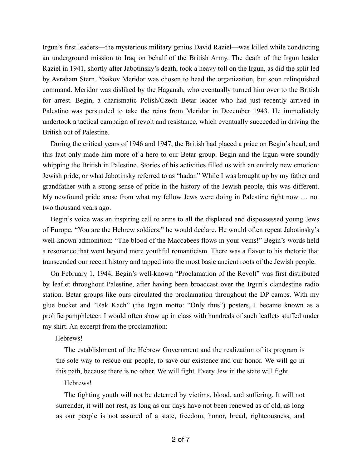Irgun's first leaders—the mysterious military genius David Raziel—was killed while conducting an underground mission to Iraq on behalf of the British Army. The death of the Irgun leader Raziel in 1941, shortly after Jabotinsky's death, took a heavy toll on the Irgun, as did the split led by Avraham Stern. Yaakov Meridor was chosen to head the organization, but soon relinquished command. Meridor was disliked by the Haganah, who eventually turned him over to the British for arrest. Begin, a charismatic Polish/Czech Betar leader who had just recently arrived in Palestine was persuaded to take the reins from Meridor in December 1943. He immediately undertook a tactical campaign of revolt and resistance, which eventually succeeded in driving the British out of Palestine.

During the critical years of 1946 and 1947, the British had placed a price on Begin's head, and this fact only made him more of a hero to our Betar group. Begin and the Irgun were soundly whipping the British in Palestine. Stories of his activities filled us with an entirely new emotion: Jewish pride, or what Jabotinsky referred to as "hadar." While I was brought up by my father and grandfather with a strong sense of pride in the history of the Jewish people, this was different. My newfound pride arose from what my fellow Jews were doing in Palestine right now … not two thousand years ago.

Begin's voice was an inspiring call to arms to all the displaced and dispossessed young Jews of Europe. "You are the Hebrew soldiers," he would declare. He would often repeat Jabotinsky's well-known admonition: "The blood of the Maccabees flows in your veins!" Begin's words held a resonance that went beyond mere youthful romanticism. There was a flavor to his rhetoric that transcended our recent history and tapped into the most basic ancient roots of the Jewish people.

On February 1, 1944, Begin's well-known "Proclamation of the Revolt" was first distributed by leaflet throughout Palestine, after having been broadcast over the Irgun's clandestine radio station. Betar groups like ours circulated the proclamation throughout the DP camps. With my glue bucket and "Rak Kach" (the Irgun motto: "Only thus") posters, I became known as a prolific pamphleteer. I would often show up in class with hundreds of such leaflets stuffed under my shirt. An excerpt from the proclamation:

#### Hebrews!

The establishment of the Hebrew Government and the realization of its program is the sole way to rescue our people, to save our existence and our honor. We will go in this path, because there is no other. We will fight. Every Jew in the state will fight.

#### Hebrews!

The fighting youth will not be deterred by victims, blood, and suffering. It will not surrender, it will not rest, as long as our days have not been renewed as of old, as long as our people is not assured of a state, freedom, honor, bread, righteousness, and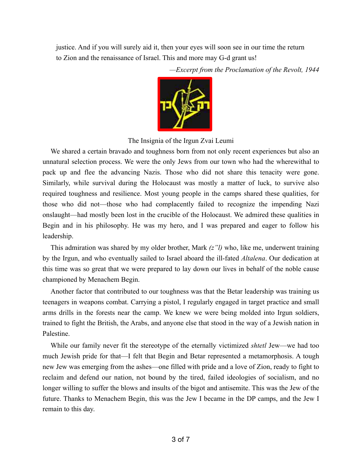justice. And if you will surely aid it, then your eyes will soon see in our time the return to Zion and the renaissance of Israel. This and more may G-d grant us!

*—Excerpt from the Proclamation of the Revolt, 1944*



The Insignia of the Irgun Zvai Leumi

We shared a certain bravado and toughness born from not only recent experiences but also an unnatural selection process. We were the only Jews from our town who had the wherewithal to pack up and flee the advancing Nazis. Those who did not share this tenacity were gone. Similarly, while survival during the Holocaust was mostly a matter of luck, to survive also required toughness and resilience. Most young people in the camps shared these qualities, for those who did not—those who had complacently failed to recognize the impending Nazi onslaught—had mostly been lost in the crucible of the Holocaust. We admired these qualities in Begin and in his philosophy. He was my hero, and I was prepared and eager to follow his leadership.

This admiration was shared by my older brother, Mark *(z"l)* who, like me, underwent training by the Irgun, and who eventually sailed to Israel aboard the ill-fated *Altalena*. Our dedication at this time was so great that we were prepared to lay down our lives in behalf of the noble cause championed by Menachem Begin.

Another factor that contributed to our toughness was that the Betar leadership was training us teenagers in weapons combat. Carrying a pistol, I regularly engaged in target practice and small arms drills in the forests near the camp. We knew we were being molded into Irgun soldiers, trained to fight the British, the Arabs, and anyone else that stood in the way of a Jewish nation in Palestine.

While our family never fit the stereotype of the eternally victimized *shtetl* Jew—we had too much Jewish pride for that—I felt that Begin and Betar represented a metamorphosis. A tough new Jew was emerging from the ashes—one filled with pride and a love of Zion, ready to fight to reclaim and defend our nation, not bound by the tired, failed ideologies of socialism, and no longer willing to suffer the blows and insults of the bigot and antisemite. This was the Jew of the future. Thanks to Menachem Begin, this was the Jew I became in the DP camps, and the Jew I remain to this day.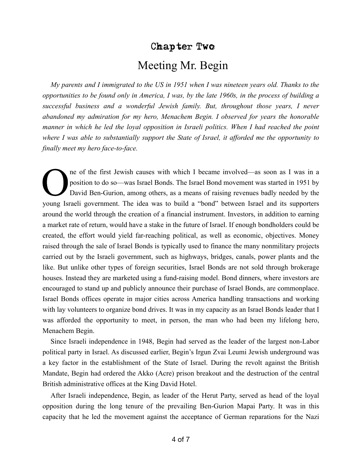## Chapter Two

### Meeting Mr. Begin

*My parents and I immigrated to the US in 1951 when I was nineteen years old. Thanks to the opportunities to be found only in America, I was, by the late 1960s, in the process of building a successful business and a wonderful Jewish family. But, throughout those years, I never abandoned my admiration for my hero, Menachem Begin. I observed for years the honorable manner in which he led the loyal opposition in Israeli politics. When I had reached the point where I was able to substantially support the State of Israel, it afforded me the opportunity to finally meet my hero face-to-face.*

ne of the first Jewish causes with which I became involved—as soon as I was in a position to do so—was Israel Bonds. The Israel Bond movement was started in 1951 by David Ben-Gurion, among others, as a means of raising rev position to do so—was Israel Bonds. The Israel Bond movement was started in 1951 by David Ben-Gurion, among others, as a means of raising revenues badly needed by the young Israeli government. The idea was to build a "bond" between Israel and its supporters around the world through the creation of a financial instrument. Investors, in addition to earning a market rate of return, would have a stake in the future of Israel. If enough bondholders could be created, the effort would yield far-reaching political, as well as economic, objectives. Money raised through the sale of Israel Bonds is typically used to finance the many nonmilitary projects carried out by the Israeli government, such as highways, bridges, canals, power plants and the like. But unlike other types of foreign securities, Israel Bonds are not sold through brokerage houses. Instead they are marketed using a fund-raising model. Bond dinners, where investors are encouraged to stand up and publicly announce their purchase of Israel Bonds, are commonplace. Israel Bonds offices operate in major cities across America handling transactions and working with lay volunteers to organize bond drives. It was in my capacity as an Israel Bonds leader that I was afforded the opportunity to meet, in person, the man who had been my lifelong hero, Menachem Begin.

Since Israeli independence in 1948, Begin had served as the leader of the largest non-Labor political party in Israel. As discussed earlier, Begin's Irgun Zvai Leumi Jewish underground was a key factor in the establishment of the State of Israel. During the revolt against the British Mandate, Begin had ordered the Akko (Acre) prison breakout and the destruction of the central British administrative offices at the King David Hotel.

After Israeli independence, Begin, as leader of the Herut Party, served as head of the loyal opposition during the long tenure of the prevailing Ben-Gurion Mapai Party. It was in this capacity that he led the movement against the acceptance of German reparations for the Nazi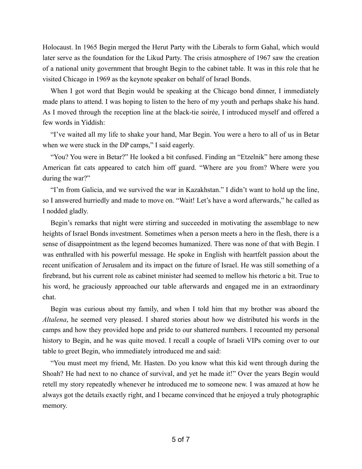Holocaust. In 1965 Begin merged the Herut Party with the Liberals to form Gahal, which would later serve as the foundation for the Likud Party. The crisis atmosphere of 1967 saw the creation of a national unity government that brought Begin to the cabinet table. It was in this role that he visited Chicago in 1969 as the keynote speaker on behalf of Israel Bonds.

When I got word that Begin would be speaking at the Chicago bond dinner, I immediately made plans to attend. I was hoping to listen to the hero of my youth and perhaps shake his hand. As I moved through the reception line at the black-tie soirée, I introduced myself and offered a few words in Yiddish:

"I've waited all my life to shake your hand, Mar Begin. You were a hero to all of us in Betar when we were stuck in the DP camps," I said eagerly.

"You? You were in Betar?" He looked a bit confused. Finding an "Etzelnik" here among these American fat cats appeared to catch him off guard. "Where are you from? Where were you during the war?"

"I'm from Galicia, and we survived the war in Kazakhstan." I didn't want to hold up the line, so I answered hurriedly and made to move on. "Wait! Let's have a word afterwards," he called as I nodded gladly.

Begin's remarks that night were stirring and succeeded in motivating the assemblage to new heights of Israel Bonds investment. Sometimes when a person meets a hero in the flesh, there is a sense of disappointment as the legend becomes humanized. There was none of that with Begin. I was enthralled with his powerful message. He spoke in English with heartfelt passion about the recent unification of Jerusalem and its impact on the future of Israel. He was still something of a firebrand, but his current role as cabinet minister had seemed to mellow his rhetoric a bit. True to his word, he graciously approached our table afterwards and engaged me in an extraordinary chat.

Begin was curious about my family, and when I told him that my brother was aboard the *Altalena*, he seemed very pleased. I shared stories about how we distributed his words in the camps and how they provided hope and pride to our shattered numbers. I recounted my personal history to Begin, and he was quite moved. I recall a couple of Israeli VIPs coming over to our table to greet Begin, who immediately introduced me and said:

"You must meet my friend, Mr. Hasten. Do you know what this kid went through during the Shoah? He had next to no chance of survival, and yet he made it!" Over the years Begin would retell my story repeatedly whenever he introduced me to someone new. I was amazed at how he always got the details exactly right, and I became convinced that he enjoyed a truly photographic memory.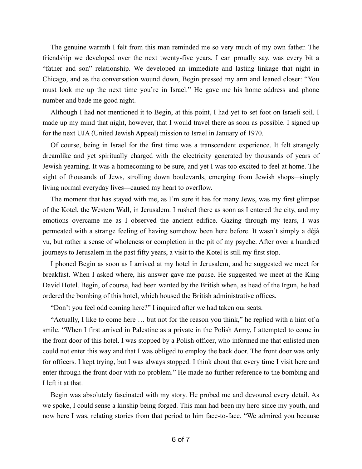The genuine warmth I felt from this man reminded me so very much of my own father. The friendship we developed over the next twenty-five years, I can proudly say, was every bit a "father and son" relationship. We developed an immediate and lasting linkage that night in Chicago, and as the conversation wound down, Begin pressed my arm and leaned closer: "You must look me up the next time you're in Israel." He gave me his home address and phone number and bade me good night.

Although I had not mentioned it to Begin, at this point, I had yet to set foot on Israeli soil. I made up my mind that night, however, that I would travel there as soon as possible. I signed up for the next UJA (United Jewish Appeal) mission to Israel in January of 1970.

Of course, being in Israel for the first time was a transcendent experience. It felt strangely dreamlike and yet spiritually charged with the electricity generated by thousands of years of Jewish yearning. It was a homecoming to be sure, and yet I was too excited to feel at home. The sight of thousands of Jews, strolling down boulevards, emerging from Jewish shops—simply living normal everyday lives—caused my heart to overflow.

The moment that has stayed with me, as I'm sure it has for many Jews, was my first glimpse of the Kotel, the Western Wall, in Jerusalem. I rushed there as soon as I entered the city, and my emotions overcame me as I observed the ancient edifice. Gazing through my tears, I was permeated with a strange feeling of having somehow been here before. It wasn't simply a déjà vu, but rather a sense of wholeness or completion in the pit of my psyche. After over a hundred journeys to Jerusalem in the past fifty years, a visit to the Kotel is still my first stop.

I phoned Begin as soon as I arrived at my hotel in Jerusalem, and he suggested we meet for breakfast. When I asked where, his answer gave me pause. He suggested we meet at the King David Hotel. Begin, of course, had been wanted by the British when, as head of the Irgun, he had ordered the bombing of this hotel, which housed the British administrative offices.

"Don't you feel odd coming here?" I inquired after we had taken our seats.

"Actually, I like to come here … but not for the reason you think," he replied with a hint of a smile. "When I first arrived in Palestine as a private in the Polish Army, I attempted to come in the front door of this hotel. I was stopped by a Polish officer, who informed me that enlisted men could not enter this way and that I was obliged to employ the back door. The front door was only for officers. I kept trying, but I was always stopped. I think about that every time I visit here and enter through the front door with no problem." He made no further reference to the bombing and I left it at that.

Begin was absolutely fascinated with my story. He probed me and devoured every detail. As we spoke, I could sense a kinship being forged. This man had been my hero since my youth, and now here I was, relating stories from that period to him face-to-face. "We admired you because